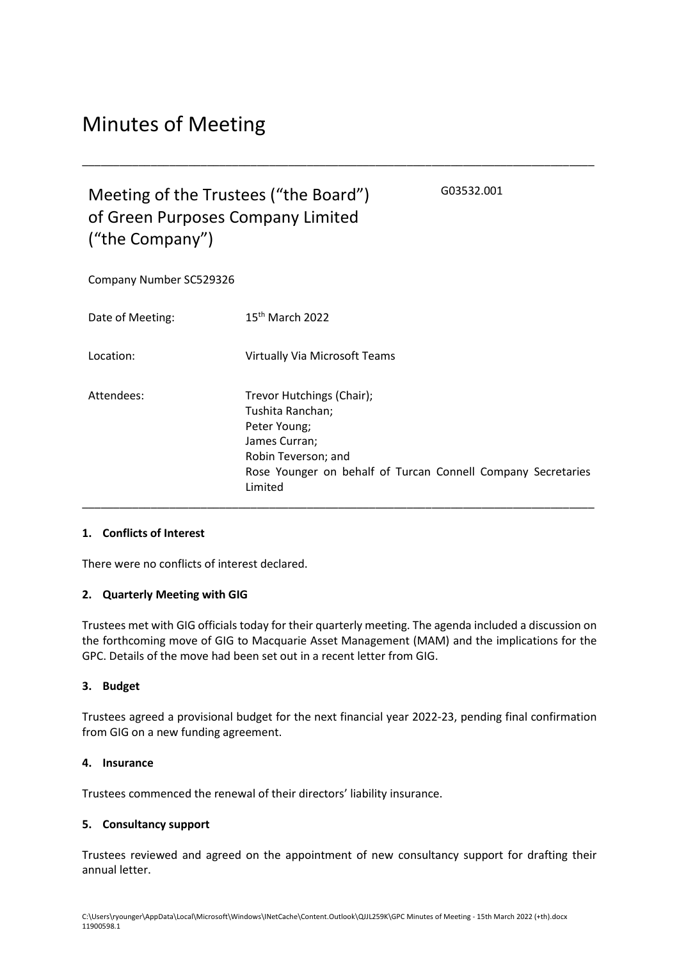# Minutes of Meeting

## Meeting of the Trustees ("the Board") of Green Purposes Company Limited ("the Company")

G03532.001

Company Number SC529326

| Date of Meeting: | $15th$ March 2022                                                                                                                                                                |
|------------------|----------------------------------------------------------------------------------------------------------------------------------------------------------------------------------|
| Location:        | <b>Virtually Via Microsoft Teams</b>                                                                                                                                             |
| Attendees:       | Trevor Hutchings (Chair);<br>Tushita Ranchan;<br>Peter Young;<br>James Curran;<br>Robin Teverson; and<br>Rose Younger on behalf of Turcan Connell Company Secretaries<br>Limited |

\_\_\_\_\_\_\_\_\_\_\_\_\_\_\_\_\_\_\_\_\_\_\_\_\_\_\_\_\_\_\_\_\_\_\_\_\_\_\_\_\_\_\_\_\_\_\_\_\_\_\_\_\_\_\_\_\_\_\_\_\_\_\_\_\_\_\_\_\_\_\_\_\_\_\_\_\_\_\_\_\_\_

#### **1. Conflicts of Interest**

There were no conflicts of interest declared.

#### **2. Quarterly Meeting with GIG**

Trustees met with GIG officials today for their quarterly meeting. The agenda included a discussion on the forthcoming move of GIG to Macquarie Asset Management (MAM) and the implications for the GPC. Details of the move had been set out in a recent letter from GIG.

#### **3. Budget**

Trustees agreed a provisional budget for the next financial year 2022-23, pending final confirmation from GIG on a new funding agreement.

#### **4. Insurance**

Trustees commenced the renewal of their directors' liability insurance.

## **5. Consultancy support**

Trustees reviewed and agreed on the appointment of new consultancy support for drafting their annual letter.